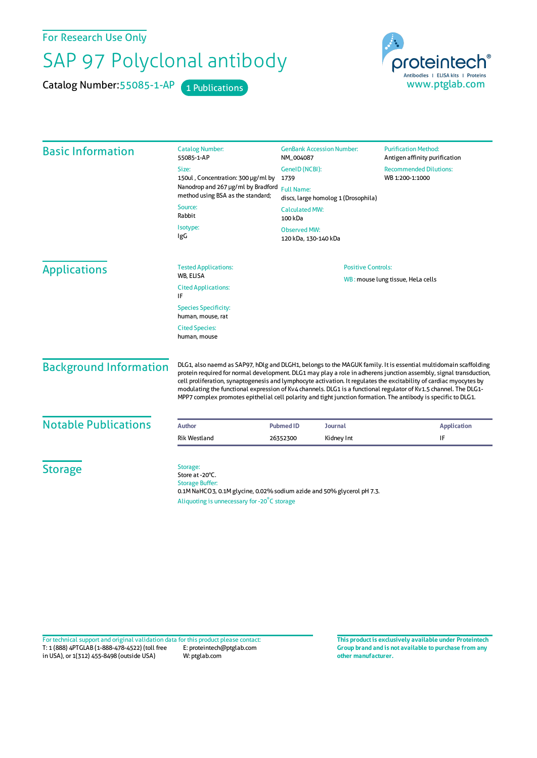For Research Use Only

## SAP 97 Polyclonal antibody

Catalog Number: 55085-1-AP 1 Publications

proteintech Antibodies | ELISA kits | Proteins<br>WWW.ptglab.com

| <b>Basic Information</b>                         | <b>Catalog Number:</b><br>55085-1-AP                                                                                                                                                                                                                                                                                                                                                                                                                                                                                                                                                             | <b>GenBank Accession Number:</b><br>NM_004087                                                | <b>Purification Method:</b><br>Antigen affinity purification   |
|--------------------------------------------------|--------------------------------------------------------------------------------------------------------------------------------------------------------------------------------------------------------------------------------------------------------------------------------------------------------------------------------------------------------------------------------------------------------------------------------------------------------------------------------------------------------------------------------------------------------------------------------------------------|----------------------------------------------------------------------------------------------|----------------------------------------------------------------|
|                                                  | Size:<br>150ul, Concentration: 300 µg/ml by<br>Nanodrop and 267 µg/ml by Bradford<br>method using BSA as the standard;<br>Source:<br>Rabbit                                                                                                                                                                                                                                                                                                                                                                                                                                                      | GenelD (NCBI):<br>1739                                                                       | <b>Recommended Dilutions:</b><br>WB 1:200-1:1000               |
|                                                  |                                                                                                                                                                                                                                                                                                                                                                                                                                                                                                                                                                                                  | <b>Full Name:</b><br>discs, large homolog 1 (Drosophila)<br><b>Calculated MW:</b><br>100 kDa |                                                                |
|                                                  |                                                                                                                                                                                                                                                                                                                                                                                                                                                                                                                                                                                                  |                                                                                              |                                                                |
|                                                  | <b>Applications</b>                                                                                                                                                                                                                                                                                                                                                                                                                                                                                                                                                                              | <b>Tested Applications:</b><br>WB, ELISA                                                     | <b>Positive Controls:</b><br>WB: mouse lung tissue, HeLa cells |
| <b>Cited Applications:</b><br>IF                 |                                                                                                                                                                                                                                                                                                                                                                                                                                                                                                                                                                                                  |                                                                                              |                                                                |
| <b>Species Specificity:</b><br>human, mouse, rat |                                                                                                                                                                                                                                                                                                                                                                                                                                                                                                                                                                                                  |                                                                                              |                                                                |
| <b>Cited Species:</b><br>human, mouse            |                                                                                                                                                                                                                                                                                                                                                                                                                                                                                                                                                                                                  |                                                                                              |                                                                |
| <b>Background Information</b>                    | DLG1, also naemd as SAP97, hDlg and DLGH1, belongs to the MAGUK family. It is essential multidomain scaffolding<br>protein required for normal development. DLG1 may play a role in adherens junction assembly, signal transduction,<br>cell proliferation, synaptogenesis and lymphocyte activation. It regulates the excitability of cardiac myocytes by<br>modulating the functional expression of Kv4 channels. DLG1 is a functional regulator of Kv1.5 channel. The DLG1-<br>MPP7 complex promotes epithelial cell polarity and tight junction formation. The antibody is specific to DLG1. |                                                                                              |                                                                |
| <b>Notable Publications</b>                      | <b>Author</b>                                                                                                                                                                                                                                                                                                                                                                                                                                                                                                                                                                                    | <b>Journal</b><br><b>Pubmed ID</b>                                                           | <b>Application</b>                                             |
|                                                  | <b>Rik Westland</b>                                                                                                                                                                                                                                                                                                                                                                                                                                                                                                                                                                              | Kidney Int<br>26352300                                                                       | IF                                                             |
| <b>Storage</b>                                   | Storage:<br>Store at -20°C.<br><b>Storage Buffer:</b><br>0.1M NaHCO3, 0.1M glycine, 0.02% sodium azide and 50% glycerol pH 7.3.<br>Aliquoting is unnecessary for -20°C storage                                                                                                                                                                                                                                                                                                                                                                                                                   |                                                                                              |                                                                |

T: 1 (888) 4PTGLAB (1-888-478-4522) (toll free in USA), or 1(312) 455-8498 (outside USA) E: proteintech@ptglab.com W: ptglab.com Fortechnical support and original validation data forthis product please contact: **This productis exclusively available under Proteintech**

**Group brand and is not available to purchase from any other manufacturer.**